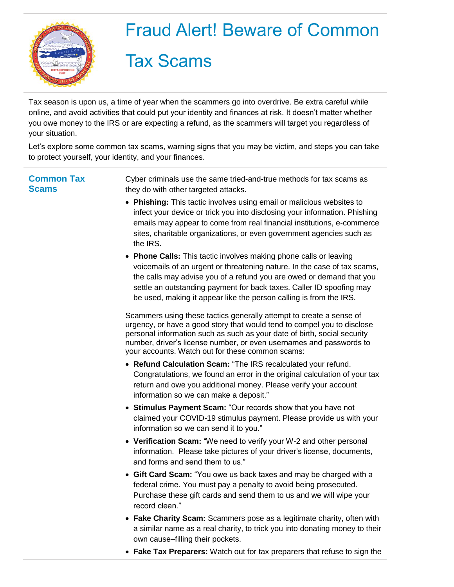

## Fraud Alert! Beware of Common

## Tax Scams

Tax season is upon us, a time of year when the scammers go into overdrive. Be extra careful while online, and avoid activities that could put your identity and finances at risk. It doesn't matter whether you owe money to the IRS or are expecting a refund, as the scammers will target you regardless of your situation.

Let's explore some common tax scams, warning signs that you may be victim, and steps you can take to protect yourself, your identity, and your finances.

**Common Tax Scams**

Cyber criminals use the same tried-and-true methods for tax scams as they do with other targeted attacks.

- **Phishing:** This tactic involves using email or malicious websites to infect your device or trick you into disclosing your information. Phishing emails may appear to come from real financial institutions, e-commerce sites, charitable organizations, or even government agencies such as the IRS.
- **Phone Calls:** This tactic involves making phone calls or leaving voicemails of an urgent or threatening nature. In the case of tax scams, the calls may advise you of a refund you are owed or demand that you settle an outstanding payment for back taxes. Caller ID spoofing may be used, making it appear like the person calling is from the IRS.

Scammers using these tactics generally attempt to create a sense of urgency, or have a good story that would tend to compel you to disclose personal information such as such as your date of birth, social security number, driver's license number, or even usernames and passwords to your accounts. Watch out for these common scams:

- **Refund Calculation Scam:** "The IRS recalculated your refund. Congratulations, we found an error in the original calculation of your tax return and owe you additional money. Please verify your account information so we can make a deposit."
- **Stimulus Payment Scam:** "Our records show that you have not claimed your COVID-19 stimulus payment. Please provide us with your information so we can send it to you."
- **Verification Scam:** "We need to verify your W-2 and other personal information. Please take pictures of your driver's license, documents, and forms and send them to us."
- **Gift Card Scam:** "You owe us back taxes and may be charged with a federal crime. You must pay a penalty to avoid being prosecuted. Purchase these gift cards and send them to us and we will wipe your record clean."
- **Fake Charity Scam:** Scammers pose as a legitimate charity, often with a similar name as a real charity, to trick you into donating money to their own cause–filling their pockets.
- **Fake Tax Preparers:** Watch out for tax preparers that refuse to sign the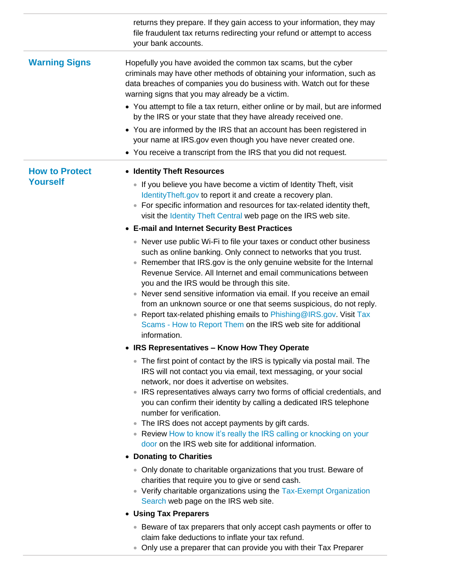|                                          | returns they prepare. If they gain access to your information, they may<br>file fraudulent tax returns redirecting your refund or attempt to access<br>your bank accounts.                                                                                                                                                                                                                                                                                                                                                                                                                                                                |
|------------------------------------------|-------------------------------------------------------------------------------------------------------------------------------------------------------------------------------------------------------------------------------------------------------------------------------------------------------------------------------------------------------------------------------------------------------------------------------------------------------------------------------------------------------------------------------------------------------------------------------------------------------------------------------------------|
| <b>Warning Signs</b>                     | Hopefully you have avoided the common tax scams, but the cyber<br>criminals may have other methods of obtaining your information, such as<br>data breaches of companies you do business with. Watch out for these<br>warning signs that you may already be a victim.                                                                                                                                                                                                                                                                                                                                                                      |
|                                          | • You attempt to file a tax return, either online or by mail, but are informed<br>by the IRS or your state that they have already received one.                                                                                                                                                                                                                                                                                                                                                                                                                                                                                           |
|                                          | • You are informed by the IRS that an account has been registered in<br>your name at IRS.gov even though you have never created one.                                                                                                                                                                                                                                                                                                                                                                                                                                                                                                      |
|                                          | • You receive a transcript from the IRS that you did not request.                                                                                                                                                                                                                                                                                                                                                                                                                                                                                                                                                                         |
| <b>How to Protect</b><br><b>Yourself</b> | • Identity Theft Resources                                                                                                                                                                                                                                                                                                                                                                                                                                                                                                                                                                                                                |
|                                          | • If you believe you have become a victim of Identity Theft, visit<br>IdentityTheft.gov to report it and create a recovery plan.<br>• For specific information and resources for tax-related identity theft,<br>visit the Identity Theft Central web page on the IRS web site.                                                                                                                                                                                                                                                                                                                                                            |
|                                          | • E-mail and Internet Security Best Practices                                                                                                                                                                                                                                                                                                                                                                                                                                                                                                                                                                                             |
|                                          | • Never use public Wi-Fi to file your taxes or conduct other business<br>such as online banking. Only connect to networks that you trust.<br>• Remember that IRS.gov is the only genuine website for the Internal<br>Revenue Service. All Internet and email communications between<br>you and the IRS would be through this site.<br>• Never send sensitive information via email. If you receive an email<br>from an unknown source or one that seems suspicious, do not reply.<br>• Report tax-related phishing emails to Phishing@IRS.gov. Visit Tax<br>Scams - How to Report Them on the IRS web site for additional<br>information. |
|                                          | <b>IRS Representatives - Know How They Operate</b>                                                                                                                                                                                                                                                                                                                                                                                                                                                                                                                                                                                        |
|                                          | • The first point of contact by the IRS is typically via postal mail. The<br>IRS will not contact you via email, text messaging, or your social<br>network, nor does it advertise on websites.<br>• IRS representatives always carry two forms of official credentials, and<br>you can confirm their identity by calling a dedicated IRS telephone<br>number for verification.<br>• The IRS does not accept payments by gift cards.<br>• Review How to know it's really the IRS calling or knocking on your<br>door on the IRS web site for additional information.                                                                       |
|                                          | • Donating to Charities                                                                                                                                                                                                                                                                                                                                                                                                                                                                                                                                                                                                                   |
|                                          | • Only donate to charitable organizations that you trust. Beware of<br>charities that require you to give or send cash.<br>• Verify charitable organizations using the Tax-Exempt Organization<br>Search web page on the IRS web site.                                                                                                                                                                                                                                                                                                                                                                                                    |
|                                          | • Using Tax Preparers                                                                                                                                                                                                                                                                                                                                                                                                                                                                                                                                                                                                                     |
|                                          | • Beware of tax preparers that only accept cash payments or offer to<br>claim fake deductions to inflate your tax refund.<br>• Only use a preparer that can provide you with their Tax Preparer                                                                                                                                                                                                                                                                                                                                                                                                                                           |